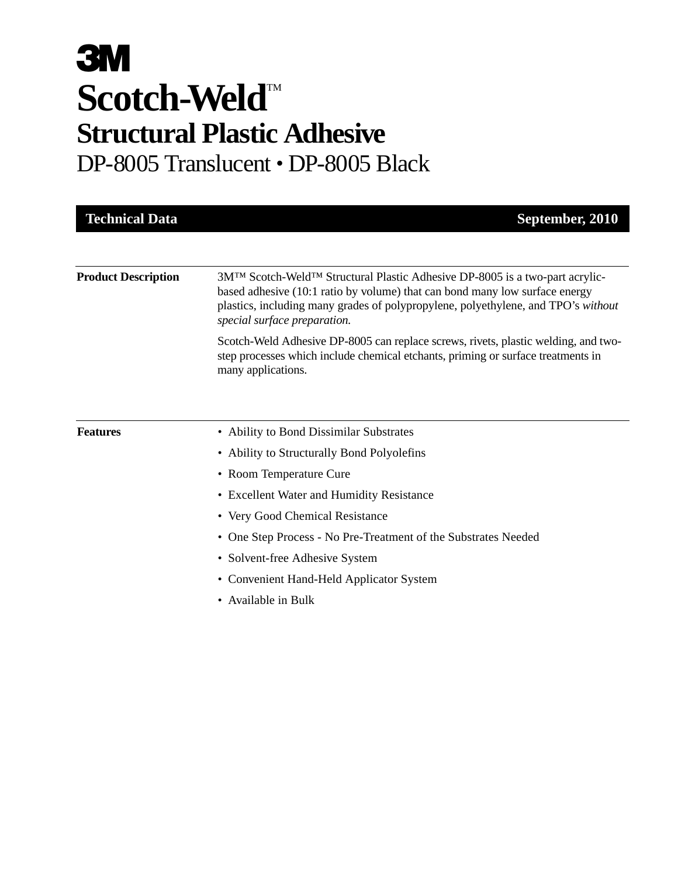# **3M** Scotch-Weld<sup>TM</sup> **Structural Plastic Adhesive** DP-8005 Translucent • DP-8005 Black

| <b>Technical Data</b>      | September, 2010                                                                                                                                                                                                                                                                  |
|----------------------------|----------------------------------------------------------------------------------------------------------------------------------------------------------------------------------------------------------------------------------------------------------------------------------|
|                            |                                                                                                                                                                                                                                                                                  |
| <b>Product Description</b> | 3MTM Scotch-Weld™ Structural Plastic Adhesive DP-8005 is a two-part acrylic-<br>based adhesive (10:1 ratio by volume) that can bond many low surface energy<br>plastics, including many grades of polypropylene, polyethylene, and TPO's without<br>special surface preparation. |
|                            | Scotch-Weld Adhesive DP-8005 can replace screws, rivets, plastic welding, and two-<br>step processes which include chemical etchants, priming or surface treatments in<br>many applications.                                                                                     |
|                            |                                                                                                                                                                                                                                                                                  |
| <b>Features</b>            | • Ability to Bond Dissimilar Substrates                                                                                                                                                                                                                                          |
|                            | • Ability to Structurally Bond Polyolefins                                                                                                                                                                                                                                       |
|                            | • Room Temperature Cure                                                                                                                                                                                                                                                          |
|                            | • Excellent Water and Humidity Resistance                                                                                                                                                                                                                                        |
|                            | • Very Good Chemical Resistance                                                                                                                                                                                                                                                  |
|                            | • One Step Process - No Pre-Treatment of the Substrates Needed                                                                                                                                                                                                                   |
|                            | • Solvent-free Adhesive System                                                                                                                                                                                                                                                   |
|                            | • Convenient Hand-Held Applicator System                                                                                                                                                                                                                                         |
|                            | Available in Bulk                                                                                                                                                                                                                                                                |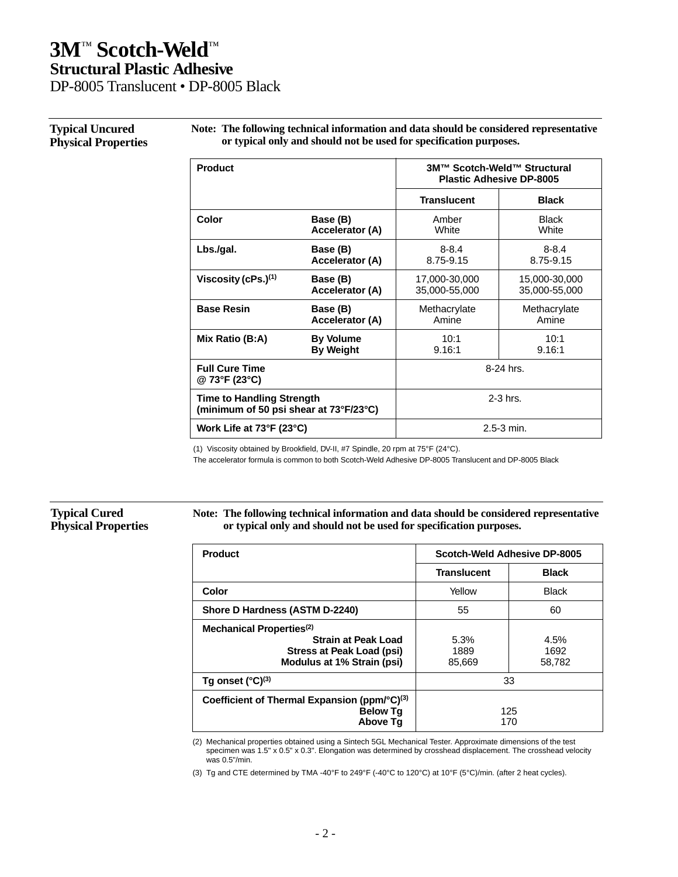DP-8005 Translucent • DP-8005 Black

### **Typical Uncured Physical Properties**

**Note: The following technical information and data should be considered representative or typical only and should not be used for specification purposes.**

| <b>Product</b>                                                             |                  | 3M™ Scotch-Weld™ Structural<br><b>Plastic Adhesive DP-8005</b> |               |
|----------------------------------------------------------------------------|------------------|----------------------------------------------------------------|---------------|
|                                                                            |                  | <b>Translucent</b>                                             | <b>Black</b>  |
| Color                                                                      | Base (B)         | Amber                                                          | <b>Black</b>  |
|                                                                            | Accelerator (A)  | White                                                          | White         |
| Lbs./gal.                                                                  | Base (B)         | $8 - 8.4$                                                      | $8 - 8.4$     |
|                                                                            | Accelerator (A)  | 8.75-9.15                                                      | 8.75-9.15     |
| Viscosity (cPs.) $(1)$                                                     | Base (B)         | 17,000-30,000                                                  | 15,000-30,000 |
|                                                                            | Accelerator (A)  | 35,000-55,000                                                  | 35,000-55,000 |
| <b>Base Resin</b>                                                          | Base (B)         | Methacrylate                                                   | Methacrylate  |
|                                                                            | Accelerator (A)  | Amine                                                          | Amine         |
| Mix Ratio (B:A)                                                            | <b>By Volume</b> | 10:1                                                           | 10:1          |
|                                                                            | <b>By Weight</b> | 9.16:1                                                         | 9.16:1        |
| <b>Full Cure Time</b><br>@ 73°F (23°C)                                     |                  | 8-24 hrs.                                                      |               |
| <b>Time to Handling Strength</b><br>(minimum of 50 psi shear at 73°F/23°C) |                  | $2-3$ hrs.                                                     |               |
| Work Life at 73°F (23°C)                                                   |                  |                                                                | 2.5-3 min.    |

(1) Viscosity obtained by Brookfield, DV-II, #7 Spindle, 20 rpm at 75°F (24°C).

The accelerator formula is common to both Scotch-Weld Adhesive DP-8005 Translucent and DP-8005 Black

### **Typical Cured Physical Properties**

**Note: The following technical information and data should be considered representative or typical only and should not be used for specification purposes.**

| Product                                                                                                                                                 | Scotch-Weld Adhesive DP-8005 |                        |
|---------------------------------------------------------------------------------------------------------------------------------------------------------|------------------------------|------------------------|
|                                                                                                                                                         | <b>Translucent</b>           | <b>Black</b>           |
| Color                                                                                                                                                   | Yellow                       | <b>Black</b>           |
| Shore D Hardness (ASTM D-2240)                                                                                                                          | 55                           | 60                     |
| Mechanical Properties <sup>(2)</sup><br><b>Strain at Peak Load</b><br>5.3%<br>Stress at Peak Load (psi)<br>1889<br>Modulus at 1% Strain (psi)<br>85.669 |                              | 4.5%<br>1692<br>58,782 |
| Tg onset $(^{\circ}C)^{(3)}$                                                                                                                            | 33                           |                        |
| Coefficient of Thermal Expansion (ppm/°C) <sup>(3)</sup><br><b>Below Tg</b><br><b>Above Tg</b>                                                          | 125<br>170                   |                        |

(2) Mechanical properties obtained using a Sintech 5GL Mechanical Tester. Approximate dimensions of the test specimen was 1.5" x 0.5" x 0.3". Elongation was determined by crosshead displacement. The crosshead velocity was 0.5"/min.

(3) Tg and CTE determined by TMA -40°F to 249°F (-40°C to 120°C) at 10°F (5°C)/min. (after 2 heat cycles).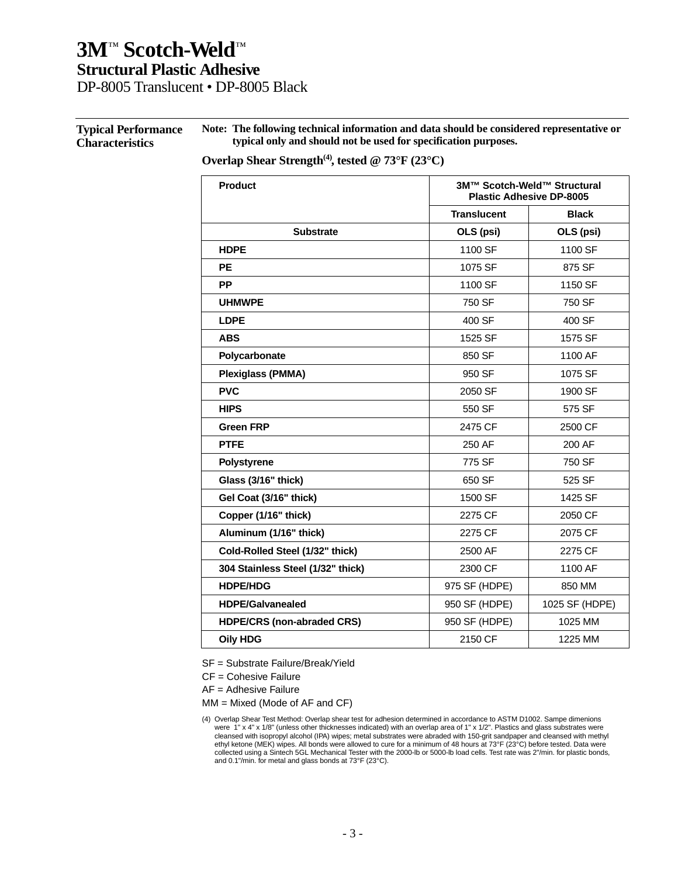DP-8005 Translucent • DP-8005 Black

#### **Typical Performance Characteristics Note: The following technical information and data should be considered representative or typical only and should not be used for specification purposes.**

### Overlap Shear Strength<sup>(4)</sup>, tested @ 73°F (23°C)

| <b>Product</b>                    | 3M™ Scotch-Weld™ Structural<br><b>Plastic Adhesive DP-8005</b> |                |  |
|-----------------------------------|----------------------------------------------------------------|----------------|--|
|                                   | <b>Translucent</b>                                             | <b>Black</b>   |  |
| <b>Substrate</b>                  | OLS (psi)                                                      | OLS (psi)      |  |
| <b>HDPE</b>                       | 1100 SF                                                        | 1100 SF        |  |
| <b>PE</b>                         | 1075 SF                                                        | 875 SF         |  |
| <b>PP</b>                         | 1100 SF                                                        | 1150 SF        |  |
| <b>UHMWPE</b>                     | 750 SF                                                         | 750 SF         |  |
| <b>LDPE</b>                       | 400 SF                                                         | 400 SF         |  |
| <b>ABS</b>                        | 1525 SF                                                        | 1575 SF        |  |
| Polycarbonate                     | 850 SF                                                         | 1100 AF        |  |
| <b>Plexiglass (PMMA)</b>          | 950 SF                                                         | 1075 SF        |  |
| <b>PVC</b>                        | 2050 SF                                                        | 1900 SF        |  |
| <b>HIPS</b>                       | 550 SF                                                         | 575 SF         |  |
| <b>Green FRP</b>                  | 2475 CF                                                        | 2500 CF        |  |
| <b>PTFE</b>                       | 250 AF                                                         | 200 AF         |  |
| <b>Polystyrene</b>                | 775 SF                                                         | 750 SF         |  |
| Glass (3/16" thick)               | 650 SF                                                         | 525 SF         |  |
| Gel Coat (3/16" thick)            | 1500 SF                                                        | 1425 SF        |  |
| Copper (1/16" thick)              | 2275 CF                                                        | 2050 CF        |  |
| Aluminum (1/16" thick)            | 2275 CF                                                        | 2075 CF        |  |
| Cold-Rolled Steel (1/32" thick)   | 2500 AF                                                        | 2275 CF        |  |
| 304 Stainless Steel (1/32" thick) | 2300 CF                                                        | 1100 AF        |  |
| <b>HDPE/HDG</b>                   | 975 SF (HDPE)                                                  | 850 MM         |  |
| <b>HDPE/Galvanealed</b>           | 950 SF (HDPE)                                                  | 1025 SF (HDPE) |  |
| <b>HDPE/CRS (non-abraded CRS)</b> | 950 SF (HDPE)                                                  | 1025 MM        |  |
| <b>Oily HDG</b>                   | 2150 CF                                                        | 1225 MM        |  |

SF = Substrate Failure/Break/Yield

CF = Cohesive Failure

AF = Adhesive Failure

MM = Mixed (Mode of AF and CF)

<sup>(4)</sup> Overlap Shear Test Method: Overlap shear test for adhesion determined in accordance to ASTM D1002. Sampe dimenions were 1" x 4" x 1/8" (unless other thicknesses indicated) with an overlap area of 1" x 1/2". Plastics and glass substrates were cleansed with isopropyl alcohol (IPA) wipes; metal substrates were abraded with 150-grit sandpaper and cleansed with methyl ethyl ketone (MEK) wipes. All bonds were allowed to cure for a minimum of 48 hours at 73°F (23°C) before tested. Data were<br>collected using a Sintech 5GL Mechanical Tester with the 2000-lb or 5000-lb load cells. Test rate w and 0.1"/min. for metal and glass bonds at 73°F (23°C).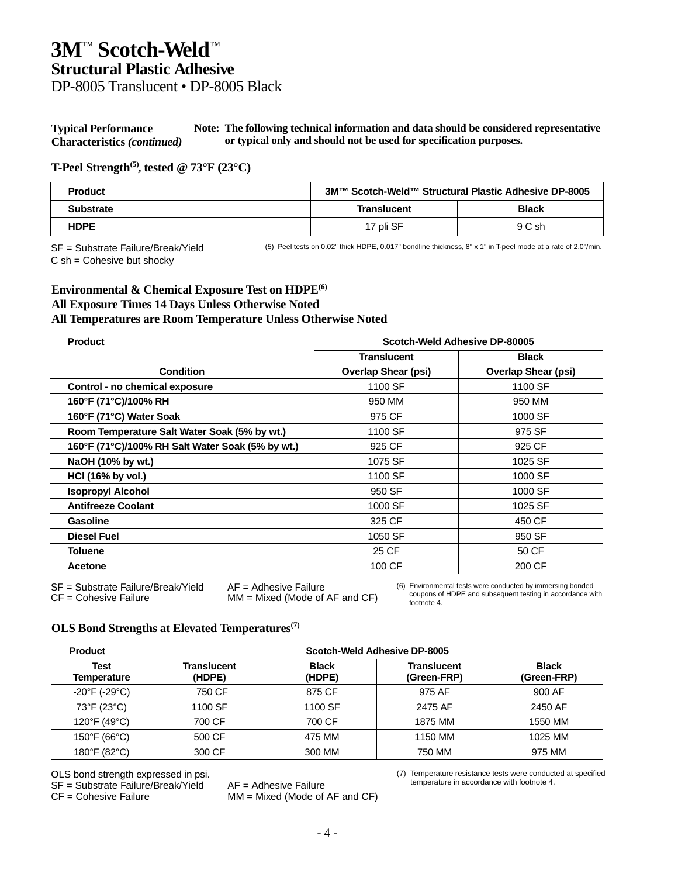DP-8005 Translucent • DP-8005 Black

**Typical Performance Characteristics** *(continued)* **Note: The following technical information and data should be considered representative or typical only and should not be used for specification purposes.**

### **T-Peel Strength(5), tested @ 73°F (23°C)**

| <b>Product</b>   | 3M™ Scotch-Weld™ Structural Plastic Adhesive DP-8005 |              |
|------------------|------------------------------------------------------|--------------|
| <b>Substrate</b> | <b>Translucent</b>                                   | <b>Black</b> |
| <b>HDPE</b>      | 17 pli SF                                            | 9 C sh       |

SF = Substrate Failure/Break/Yield

(5) Peel tests on 0.02" thick HDPE, 0.017" bondline thickness, 8" x 1" in T-peel mode at a rate of 2.0"/min.

 $C$  sh = Cohesive but shocky

### **Environmental & Chemical Exposure Test on HDPE(6) All Exposure Times 14 Days Unless Otherwise Noted**

### **All Temperatures are Room Temperature Unless Otherwise Noted**

| <b>Product</b>                                   | Scotch-Weld Adhesive DP-80005 |                            |
|--------------------------------------------------|-------------------------------|----------------------------|
|                                                  | <b>Translucent</b>            | <b>Black</b>               |
| <b>Condition</b>                                 | <b>Overlap Shear (psi)</b>    | <b>Overlap Shear (psi)</b> |
| Control - no chemical exposure                   | 1100 SF                       | 1100 SF                    |
| 160°F (71°C)/100% RH                             | 950 MM                        | 950 MM                     |
| 160°F (71°C) Water Soak                          | 975 CF                        | 1000 SF                    |
| Room Temperature Salt Water Soak (5% by wt.)     | 1100 SF                       | 975 SF                     |
| 160°F (71°C)/100% RH Salt Water Soak (5% by wt.) | 925 CF                        | 925 CF                     |
| NaOH (10% by wt.)                                | 1075 SF                       | 1025 SF                    |
| HCI (16% by vol.)                                | 1100 SF                       | 1000 SF                    |
| <b>Isopropyl Alcohol</b>                         | 950 SF                        | 1000 SF                    |
| <b>Antifreeze Coolant</b>                        | 1000 SF                       | 1025 SF                    |
| Gasoline                                         | 325 CF                        | 450 CF                     |
| Diesel Fuel                                      | 1050 SF                       | 950 SF                     |
| <b>Toluene</b>                                   | 25 CF                         | 50 CF                      |
| <b>Acetone</b>                                   | 100 CF                        | 200 CF                     |

SF = Substrate Failure/Break/Yield AF = Adhesive Failure

 $MM = Mixed (Mode of AF and CF)$ 

(6) Environmental tests were conducted by immersing bonded coupons of HDPE and subsequent testing in accordance with footnote 4.

### **OLS Bond Strengths at Elevated Temperatures(7)**

| <b>Product</b>                     | Scotch-Weld Adhesive DP-8005 |                        |                                   |                             |
|------------------------------------|------------------------------|------------------------|-----------------------------------|-----------------------------|
| Test<br>Temperature                | Translucent<br>(HDPE)        | <b>Black</b><br>(HDPE) | <b>Translucent</b><br>(Green-FRP) | <b>Black</b><br>(Green-FRP) |
| $-20^{\circ}$ F (-29 $^{\circ}$ C) | 750 CF                       | 875 CF                 | 975 AF                            | 900 AF                      |
| 73°F (23°C)                        | 1100 SF                      | 1100 SF                | 2475 AF                           | 2450 AF                     |
| 120°F (49°C)                       | 700 CF                       | 700 CF                 | 1875 MM                           | 1550 MM                     |
| 150°F (66°C)                       | 500 CF                       | 475 MM                 | 1150 MM                           | 1025 MM                     |
| 180°F (82°C)                       | 300 CF                       | 300 MM                 | 750 MM                            | 975 MM                      |

OLS bond strength expressed in psi.

SF = Substrate Failure/Break/Yield AF = Adhesive Failure

 $MM = Mixed (Mode of AF and CF)$ 

(7) Temperature resistance tests were conducted at specified temperature in accordance with footnote 4.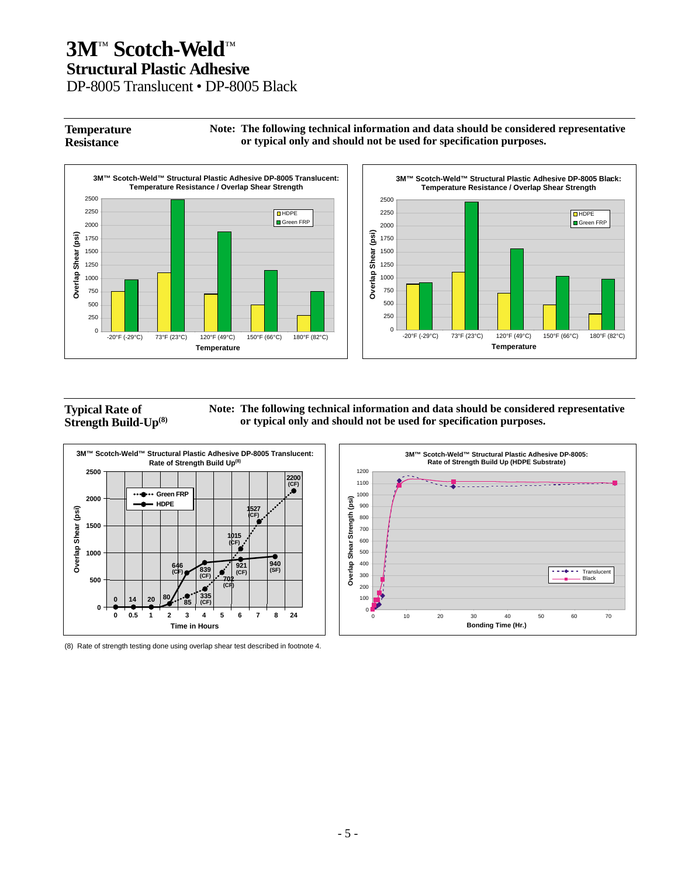DP-8005 Translucent • DP-8005 Black

#### **Temperature Resistance Note: The following technical information and data should be considered representative or typical only and should not be used for specification purposes.**





### **Typical Rate of Strength Build-Up(8)**

**Note: The following technical information and data should be considered representative or typical only and should not be used for specification purposes.**



(8) Rate of strength testing done using overlap shear test described in footnote 4.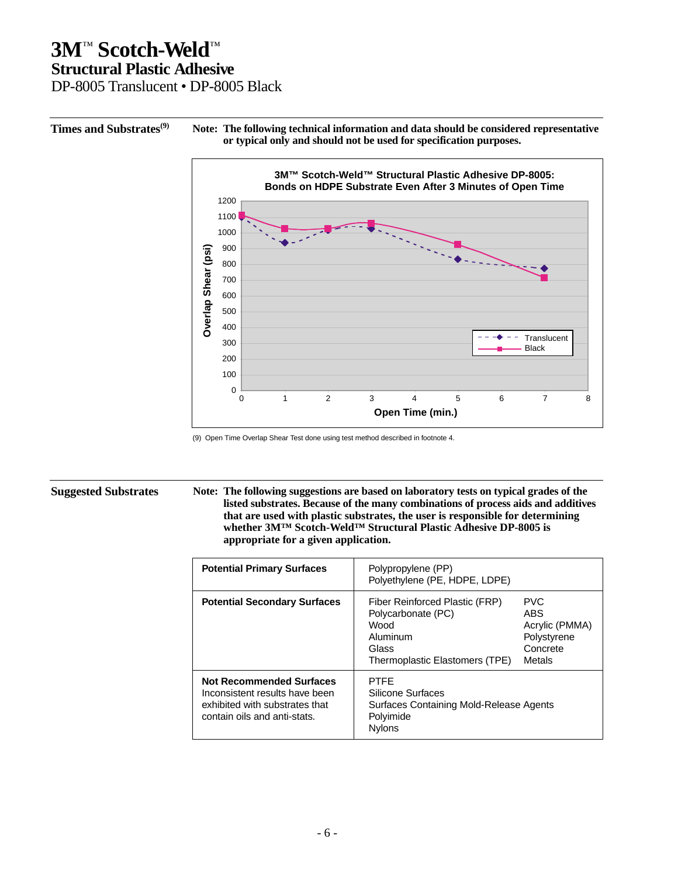DP-8005 Translucent • DP-8005 Black

**Times and Substrates(9) Note: The following technical information and data should be considered representative or typical only and should not be used for specification purposes.**



<sup>(9)</sup> Open Time Overlap Shear Test done using test method described in footnote 4.

**Suggested Substrates Note: The following suggestions are based on laboratory tests on typical grades of the listed substrates. Because of the many combinations of process aids and additives that are used with plastic substrates, the user is responsible for determining whether 3M™ Scotch-Weld™ Structural Plastic Adhesive DP-8005 is appropriate for a given application.**

| <b>Potential Primary Surfaces</b>                                                                                                   | Polypropylene (PP)<br>Polyethylene (PE, HDPE, LDPE)                                                                 |                                                                          |
|-------------------------------------------------------------------------------------------------------------------------------------|---------------------------------------------------------------------------------------------------------------------|--------------------------------------------------------------------------|
| <b>Potential Secondary Surfaces</b>                                                                                                 | Fiber Reinforced Plastic (FRP)<br>Polycarbonate (PC)<br>Wood<br>Aluminum<br>Glass<br>Thermoplastic Elastomers (TPE) | <b>PVC</b><br>ABS<br>Acrylic (PMMA)<br>Polystyrene<br>Concrete<br>Metals |
| <b>Not Recommended Surfaces</b><br>Inconsistent results have been<br>exhibited with substrates that<br>contain oils and anti-stats. | <b>PTFF</b><br>Silicone Surfaces<br>Surfaces Containing Mold-Release Agents<br>Polyimide<br><b>Nylons</b>           |                                                                          |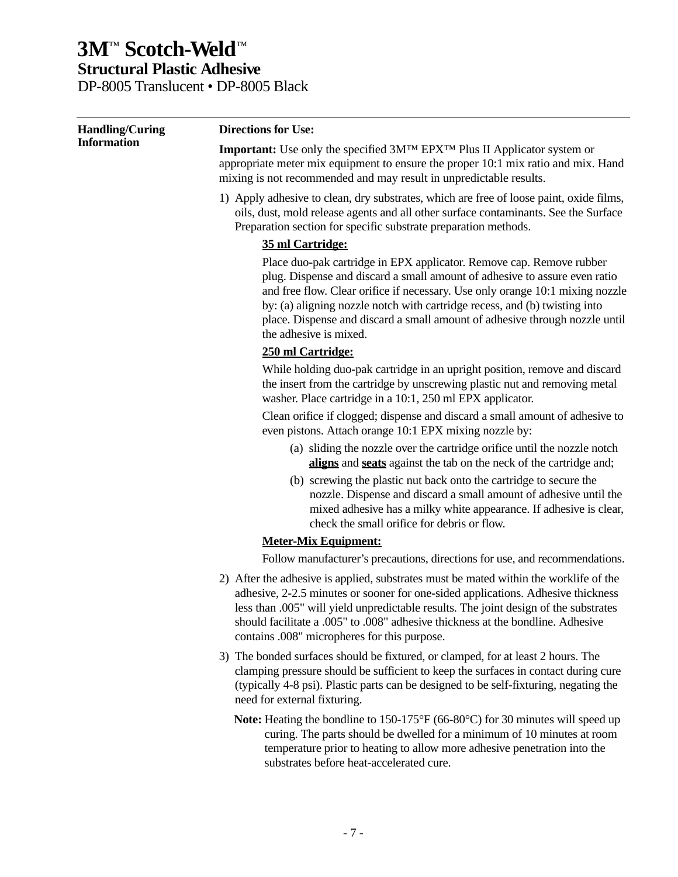DP-8005 Translucent • DP-8005 Black

| <b>Handling/Curing</b> | <b>Directions for Use:</b>                                                                                                                                                                                                                                                                                                                                                                                                 |  |  |
|------------------------|----------------------------------------------------------------------------------------------------------------------------------------------------------------------------------------------------------------------------------------------------------------------------------------------------------------------------------------------------------------------------------------------------------------------------|--|--|
| <b>Information</b>     | <b>Important:</b> Use only the specified 3M <sup>TM</sup> EPX <sup>TM</sup> Plus II Applicator system or<br>appropriate meter mix equipment to ensure the proper 10:1 mix ratio and mix. Hand<br>mixing is not recommended and may result in unpredictable results.                                                                                                                                                        |  |  |
|                        | 1) Apply adhesive to clean, dry substrates, which are free of loose paint, oxide films,<br>oils, dust, mold release agents and all other surface contaminants. See the Surface<br>Preparation section for specific substrate preparation methods.                                                                                                                                                                          |  |  |
|                        | 35 ml Cartridge:                                                                                                                                                                                                                                                                                                                                                                                                           |  |  |
|                        | Place duo-pak cartridge in EPX applicator. Remove cap. Remove rubber<br>plug. Dispense and discard a small amount of adhesive to assure even ratio<br>and free flow. Clear orifice if necessary. Use only orange 10:1 mixing nozzle<br>by: (a) aligning nozzle notch with cartridge recess, and (b) twisting into<br>place. Dispense and discard a small amount of adhesive through nozzle until<br>the adhesive is mixed. |  |  |
|                        | 250 ml Cartridge:                                                                                                                                                                                                                                                                                                                                                                                                          |  |  |
|                        | While holding duo-pak cartridge in an upright position, remove and discard<br>the insert from the cartridge by unscrewing plastic nut and removing metal<br>washer. Place cartridge in a 10:1, 250 ml EPX applicator.                                                                                                                                                                                                      |  |  |
|                        | Clean orifice if clogged; dispense and discard a small amount of adhesive to<br>even pistons. Attach orange 10:1 EPX mixing nozzle by:                                                                                                                                                                                                                                                                                     |  |  |
|                        | (a) sliding the nozzle over the cartridge orifice until the nozzle notch<br>aligns and seats against the tab on the neck of the cartridge and;                                                                                                                                                                                                                                                                             |  |  |
|                        | (b) screwing the plastic nut back onto the cartridge to secure the<br>nozzle. Dispense and discard a small amount of adhesive until the<br>mixed adhesive has a milky white appearance. If adhesive is clear,<br>check the small orifice for debris or flow.                                                                                                                                                               |  |  |
|                        | <b>Meter-Mix Equipment:</b>                                                                                                                                                                                                                                                                                                                                                                                                |  |  |
|                        | Follow manufacturer's precautions, directions for use, and recommendations.                                                                                                                                                                                                                                                                                                                                                |  |  |
|                        | 2) After the adhesive is applied, substrates must be mated within the worklife of the<br>adhesive, 2-2.5 minutes or sooner for one-sided applications. Adhesive thickness<br>less than .005" will yield unpredictable results. The joint design of the substrates<br>should facilitate a .005" to .008" adhesive thickness at the bondline. Adhesive<br>contains .008" micropheres for this purpose.                       |  |  |
|                        | 3) The bonded surfaces should be fixtured, or clamped, for at least 2 hours. The<br>clamping pressure should be sufficient to keep the surfaces in contact during cure<br>(typically 4-8 psi). Plastic parts can be designed to be self-fixturing, negating the<br>need for external fixturing.                                                                                                                            |  |  |
|                        | Note: Heating the bondline to 150-175°F (66-80°C) for 30 minutes will speed up<br>curing. The parts should be dwelled for a minimum of 10 minutes at room<br>temperature prior to heating to allow more adhesive penetration into the                                                                                                                                                                                      |  |  |

substrates before heat-accelerated cure.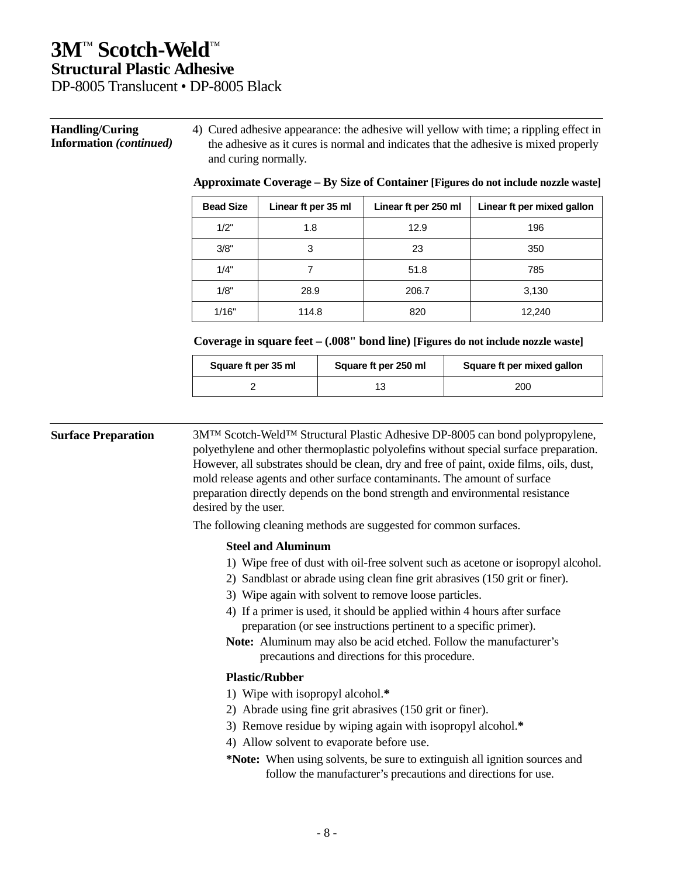### DP-8005 Translucent • DP-8005 Black

#### **Handling/Curing Information** *(continued)*

4) Cured adhesive appearance: the adhesive will yellow with time; a rippling effect in the adhesive as it cures is normal and indicates that the adhesive is mixed properly and curing normally.

| <b>Bead Size</b> | Linear ft per 35 ml | Linear ft per 250 ml | Linear ft per mixed gallon |
|------------------|---------------------|----------------------|----------------------------|
| 1/2"             | 1.8                 | 12.9                 | 196                        |
| 3/8"             | 3                   | 23                   | 350                        |
| 1/4"             |                     | 51.8                 | 785                        |
| 1/8"             | 28.9                | 206.7                | 3,130                      |
| 1/16"            | 114.8               | 820                  | 12,240                     |

### **Approximate Coverage – By Size of Container [Figures do not include nozzle waste]**

### **Coverage in square feet – (.008" bond line) [Figures do not include nozzle waste]**

| Square ft per 35 ml | Square ft per 250 ml | Square ft per mixed gallon |
|---------------------|----------------------|----------------------------|
|                     |                      | 200                        |

**Surface Preparation** 3M™ Scotch-Weld™ Structural Plastic Adhesive DP-8005 can bond polypropylene, polyethylene and other thermoplastic polyolefins without special surface preparation. However, all substrates should be clean, dry and free of paint, oxide films, oils, dust, mold release agents and other surface contaminants. The amount of surface preparation directly depends on the bond strength and environmental resistance desired by the user.

The following cleaning methods are suggested for common surfaces.

#### **Steel and Aluminum**

- 1) Wipe free of dust with oil-free solvent such as acetone or isopropyl alcohol.
- 2) Sandblast or abrade using clean fine grit abrasives (150 grit or finer).
- 3) Wipe again with solvent to remove loose particles.
- 4) If a primer is used, it should be applied within 4 hours after surface preparation (or see instructions pertinent to a specific primer).
- **Note:** Aluminum may also be acid etched. Follow the manufacturer's precautions and directions for this procedure.

### **Plastic/Rubber**

- 1) Wipe with isopropyl alcohol.**\***
- 2) Abrade using fine grit abrasives (150 grit or finer).
- 3) Remove residue by wiping again with isopropyl alcohol.**\***
- 4) Allow solvent to evaporate before use.
- **\*Note:** When using solvents, be sure to extinguish all ignition sources and follow the manufacturer's precautions and directions for use.